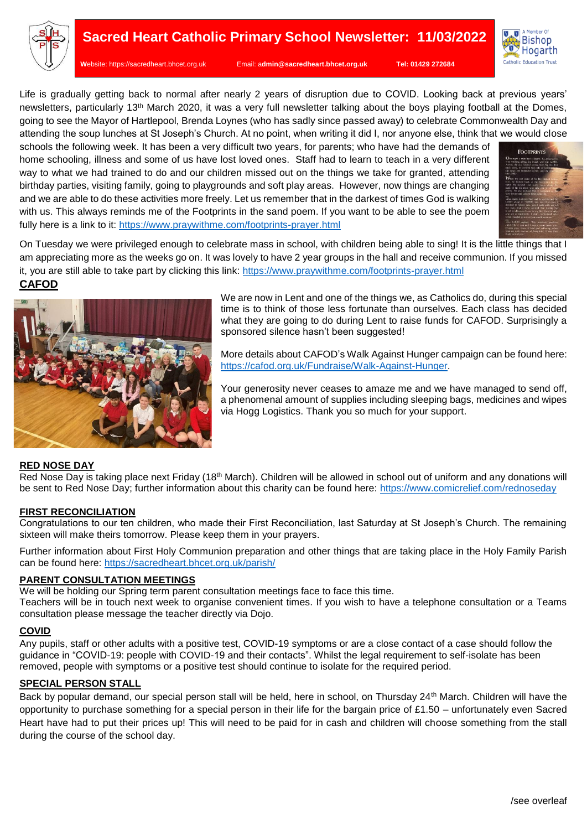

**W**ebsite: [https://sacredheart.bhcet.org.uk](https://sacredheart.bhcet.org.uk/) Email: a**[dmin@sacredheart.bhcet.org.uk](mailto:admin@sacredheart.bhcet.org.uk) Tel: 01429 272684**

Life is gradually getting back to normal after nearly 2 years of disruption due to COVID. Looking back at previous years' newsletters, particularly 13th March 2020, it was a very full newsletter talking about the boys playing football at the Domes, going to see the Mayor of Hartlepool, Brenda Loynes (who has sadly since passed away) to celebrate Commonwealth Day and attending the soup lunches at St Joseph's Church. At no point, when writing it did I, nor anyone else, think that we would close

schools the following week. It has been a very difficult two years, for parents; who have had the demands of home schooling, illness and some of us have lost loved ones. Staff had to learn to teach in a very different way to what we had trained to do and our children missed out on the things we take for granted, attending birthday parties, visiting family, going to playgrounds and soft play areas. However, now things are changing and we are able to do these activities more freely. Let us remember that in the darkest of times God is walking with us. This always reminds me of the Footprints in the sand poem. If you want to be able to see the poem fully here is a link to it:<https://www.praywithme.com/footprints-prayer.html>



A Momber Of A Member Of<br>Bishop Hogarth Catholic Education Trust

On Tuesday we were privileged enough to celebrate mass in school, with children being able to sing! It is the little things that I am appreciating more as the weeks go on. It was lovely to have 2 year groups in the hall and receive communion. If you missed it, you are still able to take part by clicking this link:<https://www.praywithme.com/footprints-prayer.html>

## **CAFOD**



We are now in Lent and one of the things we, as Catholics do, during this special time is to think of those less fortunate than ourselves. Each class has decided what they are going to do during Lent to raise funds for CAFOD. Surprisingly a sponsored silence hasn't been suggested!

More details about CAFOD's Walk Against Hunger campaign can be found here: [https://cafod.org.uk/Fundraise/Walk-Against-Hunger.](https://cafod.org.uk/Fundraise/Walk-Against-Hunger)

Your generosity never ceases to amaze me and we have managed to send off, a phenomenal amount of supplies including sleeping bags, medicines and wipes via Hogg Logistics. Thank you so much for your support.

### **RED NOSE DAY**

Red Nose Day is taking place next Friday (18<sup>th</sup> March). Children will be allowed in school out of uniform and any donations will be sent to Red Nose Day; further information about this charity can be found here:<https://www.comicrelief.com/rednoseday>

#### **FIRST RECONCILIATION**

Congratulations to our ten children, who made their First Reconciliation, last Saturday at St Joseph's Church. The remaining sixteen will make theirs tomorrow. Please keep them in your prayers.

Further information about First Holy Communion preparation and other things that are taking place in the Holy Family Parish can be found here:<https://sacredheart.bhcet.org.uk/parish/>

#### **PARENT CONSULTATION MEETINGS**

We will be holding our Spring term parent consultation meetings face to face this time.

Teachers will be in touch next week to organise convenient times. If you wish to have a telephone consultation or a Teams consultation please message the teacher directly via Dojo.

### **COVID**

Any pupils, staff or other adults with a positive test, COVID-19 symptoms or are a close contact of a case should follow the guidance in "COVID-19: people with COVID-19 and their contacts". Whilst the legal requirement to self-isolate has been removed, people with symptoms or a positive test should continue to isolate for the required period.

### **SPECIAL PERSON STALL**

Back by popular demand, our special person stall will be held, here in school, on Thursday 24th March. Children will have the opportunity to purchase something for a special person in their life for the bargain price of £1.50 – unfortunately even Sacred Heart have had to put their prices up! This will need to be paid for in cash and children will choose something from the stall during the course of the school day.